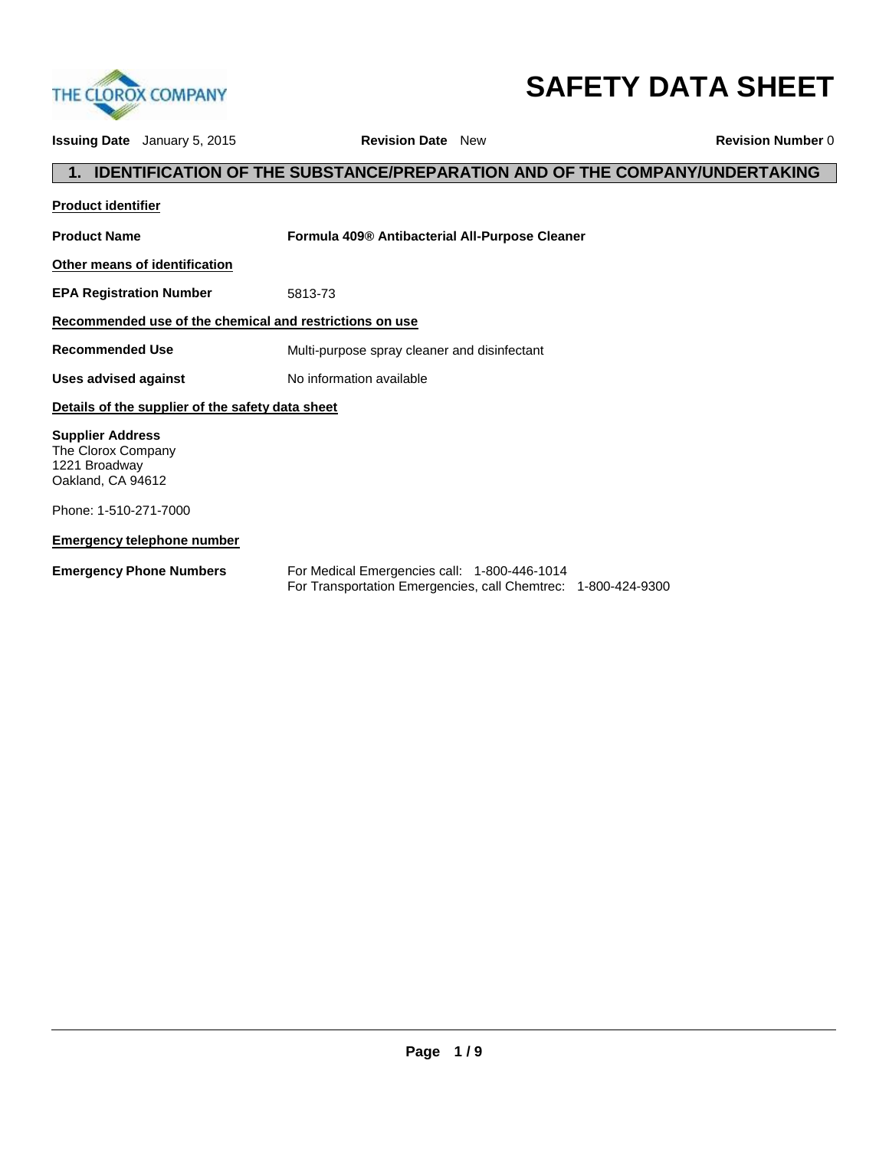

# **SAFETY DATA SHEET**

|                                                                                     | <b>Issuing Date</b> January 5, 2015              | <b>Revision Date</b> New                       |                                                                                   | <b>Revision Number 0</b> |  |
|-------------------------------------------------------------------------------------|--------------------------------------------------|------------------------------------------------|-----------------------------------------------------------------------------------|--------------------------|--|
|                                                                                     |                                                  |                                                | <b>IDENTIFICATION OF THE SUBSTANCE/PREPARATION AND OF THE COMPANY/UNDERTAKING</b> |                          |  |
| <b>Product identifier</b>                                                           |                                                  |                                                |                                                                                   |                          |  |
| <b>Product Name</b>                                                                 |                                                  | Formula 409® Antibacterial All-Purpose Cleaner |                                                                                   |                          |  |
|                                                                                     | Other means of identification                    |                                                |                                                                                   |                          |  |
| <b>EPA Registration Number</b>                                                      |                                                  | 5813-73                                        |                                                                                   |                          |  |
| Recommended use of the chemical and restrictions on use                             |                                                  |                                                |                                                                                   |                          |  |
| <b>Recommended Use</b>                                                              |                                                  | Multi-purpose spray cleaner and disinfectant   |                                                                                   |                          |  |
| Uses advised against                                                                |                                                  | No information available                       |                                                                                   |                          |  |
|                                                                                     | Details of the supplier of the safety data sheet |                                                |                                                                                   |                          |  |
| <b>Supplier Address</b><br>The Clorox Company<br>1221 Broadway<br>Oakland, CA 94612 |                                                  |                                                |                                                                                   |                          |  |
| Phone: 1-510-271-7000                                                               |                                                  |                                                |                                                                                   |                          |  |
|                                                                                     | <b>Emergency telephone number</b>                |                                                |                                                                                   |                          |  |
|                                                                                     | <b>Emergency Phone Numbers</b>                   | For Medical Emergencies call: 1-800-446-1014   | For Transportation Emergencies, call Chemtrec: 1-800-424-9300                     |                          |  |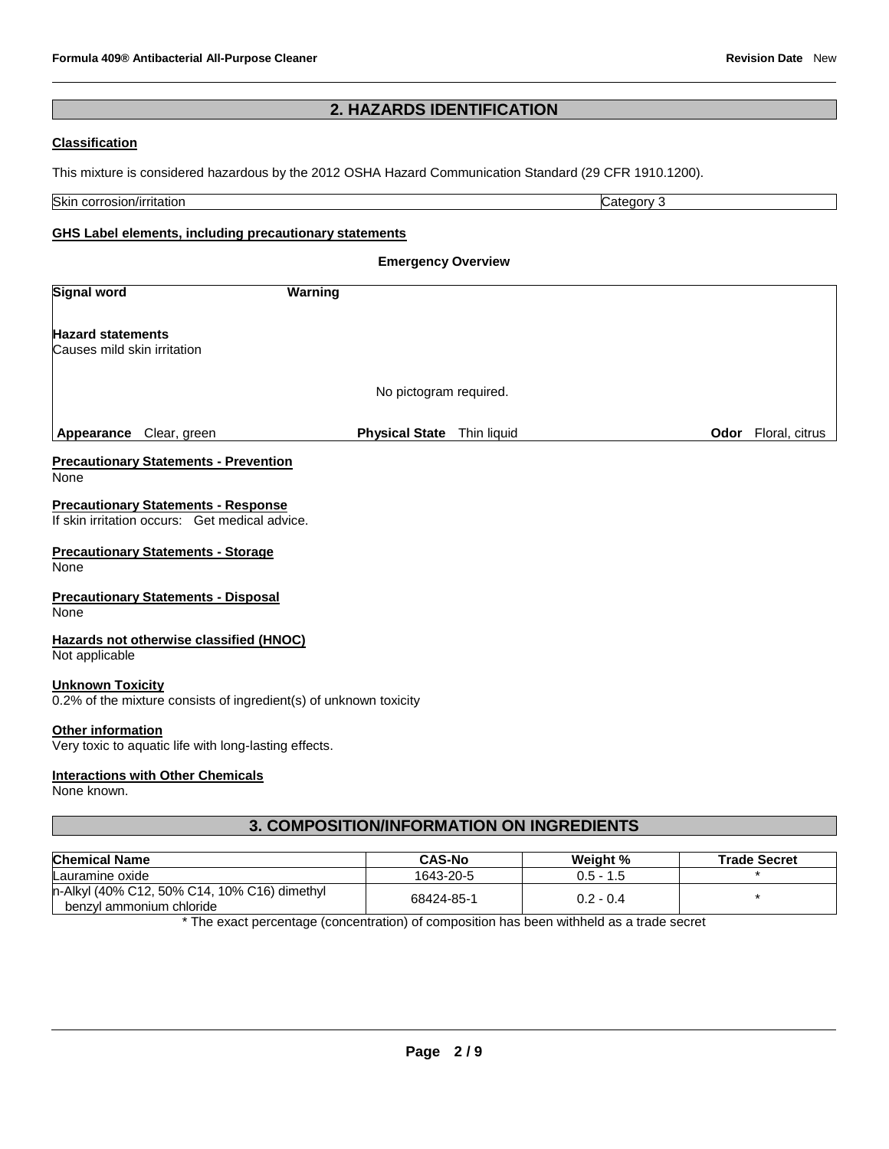# **2. HAZARDS IDENTIFICATION**

## **Classification**

This mixture is considered hazardous by the 2012 OSHA Hazard Communication Standard (29 CFR 1910.1200).

| Skin<br>rritation<br>$\sim$<br>חחומר<br>UUL.<br>. Jalul " | эт<br>ור<br>.,<br> |
|-----------------------------------------------------------|--------------------|

# **GHS Label elements, including precautionary statements**

| <b>Emergency Overview</b>                               |                                                                                              |                                                                   |             |  |                            |
|---------------------------------------------------------|----------------------------------------------------------------------------------------------|-------------------------------------------------------------------|-------------|--|----------------------------|
| <b>Signal word</b>                                      |                                                                                              | <b>Warning</b>                                                    |             |  |                            |
| <b>Hazard statements</b><br>Causes mild skin irritation |                                                                                              |                                                                   |             |  |                            |
|                                                         |                                                                                              | No pictogram required.                                            |             |  |                            |
| <b>Appearance</b> Clear, green                          |                                                                                              | <b>Physical State</b>                                             | Thin liquid |  | <b>Odor</b> Floral, citrus |
| None                                                    | <b>Precautionary Statements - Prevention</b>                                                 |                                                                   |             |  |                            |
|                                                         | <b>Precautionary Statements - Response</b><br>If skin irritation occurs: Get medical advice. |                                                                   |             |  |                            |
| None                                                    | <b>Precautionary Statements - Storage</b>                                                    |                                                                   |             |  |                            |
| None                                                    | <b>Precautionary Statements - Disposal</b>                                                   |                                                                   |             |  |                            |
| Not applicable                                          | Hazards not otherwise classified (HNOC)                                                      |                                                                   |             |  |                            |
| <b>Unknown Toxicity</b>                                 |                                                                                              | 0.2% of the mixture consists of ingredient(s) of unknown toxicity |             |  |                            |
| Other information                                       | Very toxic to aquatic life with long-lasting effects.                                        |                                                                   |             |  |                            |

## **Interactions with Other Chemicals**

None known.

# **3. COMPOSITION/INFORMATION ON INGREDIENTS**

| <b>Chemical Name</b>                                                     | <b>CAS-No</b> | Weight %    | <b>Trade Secret</b> |
|--------------------------------------------------------------------------|---------------|-------------|---------------------|
| Lauramine oxide                                                          | 1643-20-5     | $0.5 - 1.5$ |                     |
| n-Alkyl (40% C12, 50% C14, 10% C16) dimethyl<br>benzyl ammonium chloride | 68424-85-1    | $0.2 - 0.4$ |                     |

\* The exact percentage (concentration) of composition has been withheld as a trade secret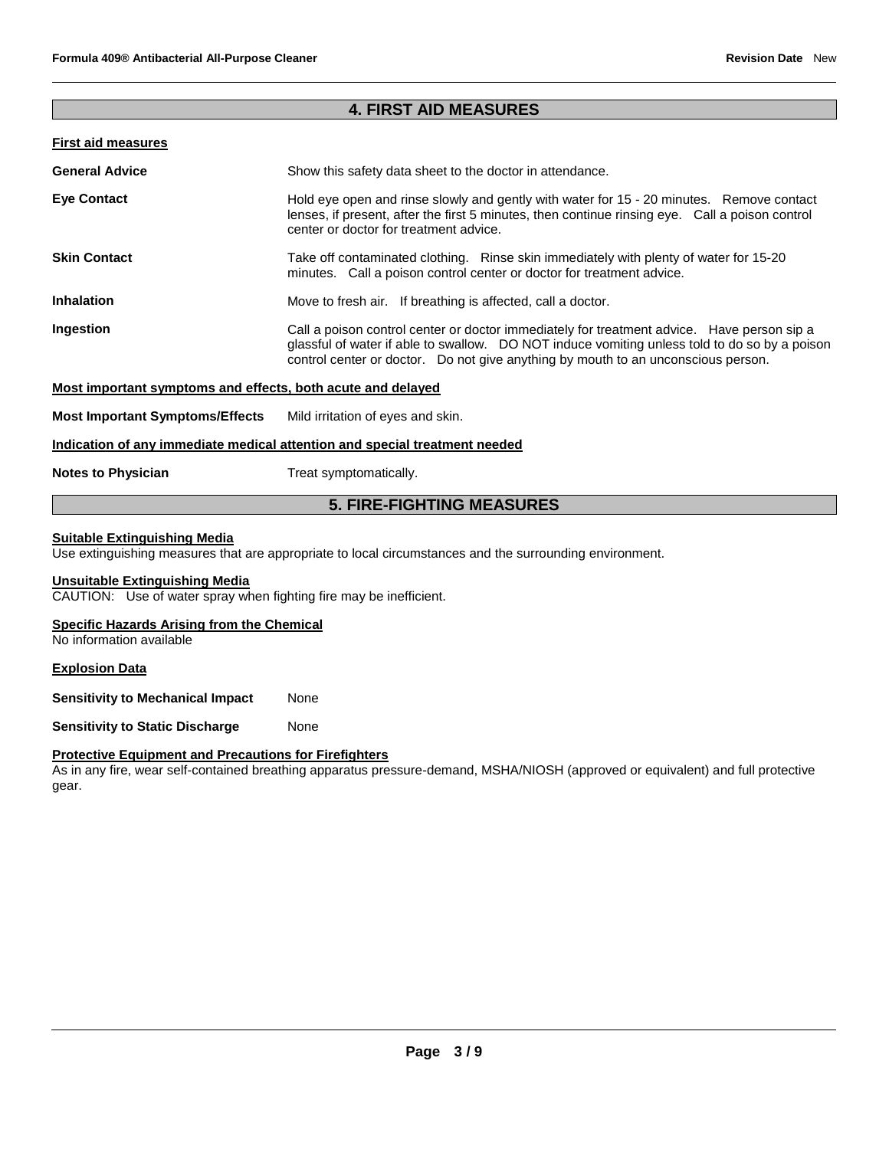# **4. FIRST AID MEASURES**

# **First aid measures**

| <b>General Advice</b> | Show this safety data sheet to the doctor in attendance.                                                                                                                                                                                                                         |  |
|-----------------------|----------------------------------------------------------------------------------------------------------------------------------------------------------------------------------------------------------------------------------------------------------------------------------|--|
| <b>Eye Contact</b>    | Hold eye open and rinse slowly and gently with water for 15 - 20 minutes. Remove contact<br>lenses, if present, after the first 5 minutes, then continue rinsing eye. Call a poison control<br>center or doctor for treatment advice.                                            |  |
| <b>Skin Contact</b>   | Take off contaminated clothing. Rinse skin immediately with plenty of water for 15-20<br>minutes. Call a poison control center or doctor for treatment advice.                                                                                                                   |  |
| <b>Inhalation</b>     | Move to fresh air. If breathing is affected, call a doctor.                                                                                                                                                                                                                      |  |
| Ingestion             | Call a poison control center or doctor immediately for treatment advice. Have person sip a<br>glassful of water if able to swallow. DO NOT induce vomiting unless told to do so by a poison<br>control center or doctor. Do not give anything by mouth to an unconscious person. |  |
|                       |                                                                                                                                                                                                                                                                                  |  |

#### **Most important symptoms and effects, both acute and delayed**

**Most Important Symptoms/Effects** Mild irritation of eyes and skin.

#### **Indication of any immediate medical attention and special treatment needed**

**Notes to Physician** Treat symptomatically.

# **5. FIRE-FIGHTING MEASURES**

#### **Suitable Extinguishing Media**

Use extinguishing measures that are appropriate to local circumstances and the surrounding environment.

#### **Unsuitable Extinguishing Media**

CAUTION: Use of water spray when fighting fire may be inefficient.

#### **Specific Hazards Arising from the Chemical**

No information available

## **Explosion Data**

**Sensitivity to Mechanical Impact None** 

**Sensitivity to Static Discharge Mone** 

#### **Protective Equipment and Precautions for Firefighters**

As in any fire, wear self-contained breathing apparatus pressure-demand, MSHA/NIOSH (approved or equivalent) and full protective gear.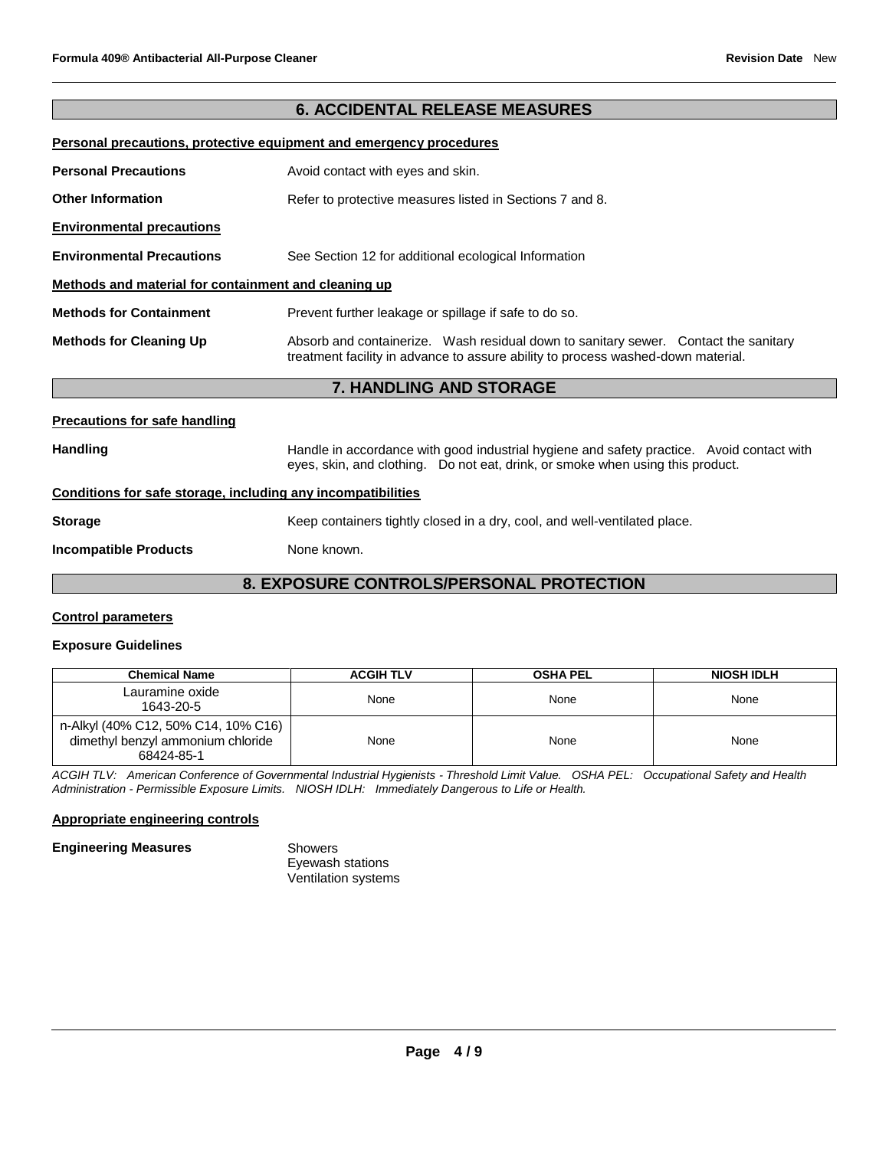# **6. ACCIDENTAL RELEASE MEASURES**

#### **Personal precautions, protective equipment and emergency procedures**

| <b>Personal Precautions</b>                          | Avoid contact with eyes and skin.                                                                                                                                       |  |  |  |
|------------------------------------------------------|-------------------------------------------------------------------------------------------------------------------------------------------------------------------------|--|--|--|
| <b>Other Information</b>                             | Refer to protective measures listed in Sections 7 and 8.                                                                                                                |  |  |  |
| <b>Environmental precautions</b>                     |                                                                                                                                                                         |  |  |  |
| <b>Environmental Precautions</b>                     | See Section 12 for additional ecological Information                                                                                                                    |  |  |  |
| Methods and material for containment and cleaning up |                                                                                                                                                                         |  |  |  |
| <b>Methods for Containment</b>                       | Prevent further leakage or spillage if safe to do so.                                                                                                                   |  |  |  |
| <b>Methods for Cleaning Up</b>                       | Absorb and containerize. Wash residual down to sanitary sewer. Contact the sanitary<br>treatment facility in advance to assure ability to process washed-down material. |  |  |  |
|                                                      | <b>7 HANDLING AND STODAGE</b>                                                                                                                                           |  |  |  |

## **7. HANDLING AND STORAGE**

#### **Precautions for safe handling**

Handling **Handle in accordance with good industrial hygiene and safety practice. Avoid contact with and the same of the Handle in accordance with good industrial hygiene and safety practice. Avoid contact with** eyes, skin, and clothing. Do not eat, drink, or smoke when using this product.

# **Conditions for safe storage, including any incompatibilities**

**Storage** Keep containers tightly closed in a dry, cool, and well-ventilated place.

**Incompatible Products** None known.

# **8. EXPOSURE CONTROLS/PERSONAL PROTECTION**

#### **Control parameters**

# **Exposure Guidelines**

| <b>Chemical Name</b>                                                                   | <b>ACGIH TLV</b> | <b>OSHA PEL</b> | <b>NIOSH IDLH</b> |
|----------------------------------------------------------------------------------------|------------------|-----------------|-------------------|
| Lauramine oxide<br>1643-20-5                                                           | None             | None            | None              |
| n-Alkyl (40% C12, 50% C14, 10% C16)<br>dimethyl benzyl ammonium chloride<br>68424-85-1 | None             | None            | None              |

*ACGIH TLV: American Conference of Governmental Industrial Hygienists - Threshold Limit Value. OSHA PEL: Occupational Safety and Health Administration - Permissible Exposure Limits. NIOSH IDLH: Immediately Dangerous to Life or Health.*

#### **Appropriate engineering controls**

#### **Engineering Measures Showers**

Eyewash stations Ventilation systems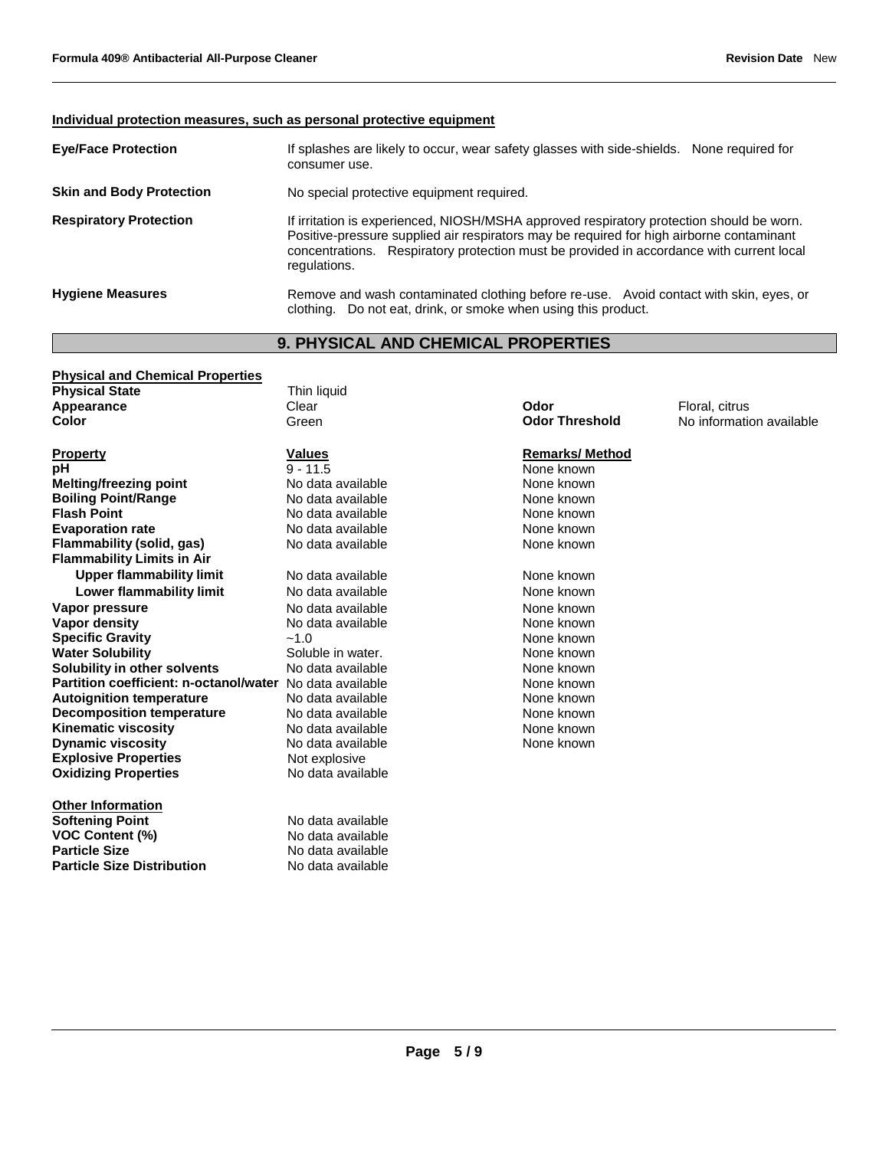# **Individual protection measures, such as personal protective equipment**

| <b>Eve/Face Protection</b>      | If splashes are likely to occur, wear safety glasses with side-shields. None required for<br>consumer use.                                                                                                                                                                                       |
|---------------------------------|--------------------------------------------------------------------------------------------------------------------------------------------------------------------------------------------------------------------------------------------------------------------------------------------------|
| <b>Skin and Body Protection</b> | No special protective equipment required.                                                                                                                                                                                                                                                        |
| <b>Respiratory Protection</b>   | If irritation is experienced, NIOSH/MSHA approved respiratory protection should be worn.<br>Positive-pressure supplied air respirators may be required for high airborne contaminant<br>concentrations. Respiratory protection must be provided in accordance with current local<br>regulations. |
| <b>Hygiene Measures</b>         | Remove and wash contaminated clothing before re-use. Avoid contact with skin, eyes, or<br>clothing. Do not eat, drink, or smoke when using this product.                                                                                                                                         |

# **9. PHYSICAL AND CHEMICAL PROPERTIES**

| <b>Physical and Chemical Properties</b>                        |                   |                       |                          |
|----------------------------------------------------------------|-------------------|-----------------------|--------------------------|
| <b>Physical State</b>                                          | Thin liquid       |                       |                          |
| Appearance                                                     | Clear             | Odor                  | Floral, citrus           |
| Color                                                          | Green             | <b>Odor Threshold</b> | No information available |
| <b>Property</b>                                                | <b>Values</b>     | <b>Remarks/Method</b> |                          |
| рH                                                             | $9 - 11.5$        | None known            |                          |
| <b>Melting/freezing point</b>                                  | No data available | None known            |                          |
| <b>Boiling Point/Range</b>                                     | No data available | None known            |                          |
| <b>Flash Point</b>                                             | No data available | None known            |                          |
| <b>Evaporation rate</b>                                        | No data available | None known            |                          |
| Flammability (solid, gas)<br><b>Flammability Limits in Air</b> | No data available | None known            |                          |
| <b>Upper flammability limit</b>                                | No data available | None known            |                          |
| Lower flammability limit                                       | No data available | None known            |                          |
| Vapor pressure                                                 | No data available | None known            |                          |
| Vapor density                                                  | No data available | None known            |                          |
| <b>Specific Gravity</b>                                        | $-1.0$            | None known            |                          |
| <b>Water Solubility</b>                                        | Soluble in water. | None known            |                          |
| Solubility in other solvents                                   | No data available | None known            |                          |
| Partition coefficient: n-octanol/water                         | No data available | None known            |                          |
| <b>Autoignition temperature</b>                                | No data available | None known            |                          |
| <b>Decomposition temperature</b>                               | No data available | None known            |                          |
| <b>Kinematic viscosity</b>                                     | No data available | None known            |                          |
| <b>Dynamic viscosity</b>                                       | No data available | None known            |                          |
| <b>Explosive Properties</b>                                    | Not explosive     |                       |                          |
| <b>Oxidizing Properties</b>                                    | No data available |                       |                          |
| <b>Other Information</b>                                       |                   |                       |                          |
| <b>Softening Point</b>                                         | No data available |                       |                          |
| <b>VOC Content (%)</b>                                         | No data available |                       |                          |
| <b>Particle Size</b>                                           | No data available |                       |                          |
| <b>Particle Size Distribution</b>                              | No data available |                       |                          |
|                                                                |                   |                       |                          |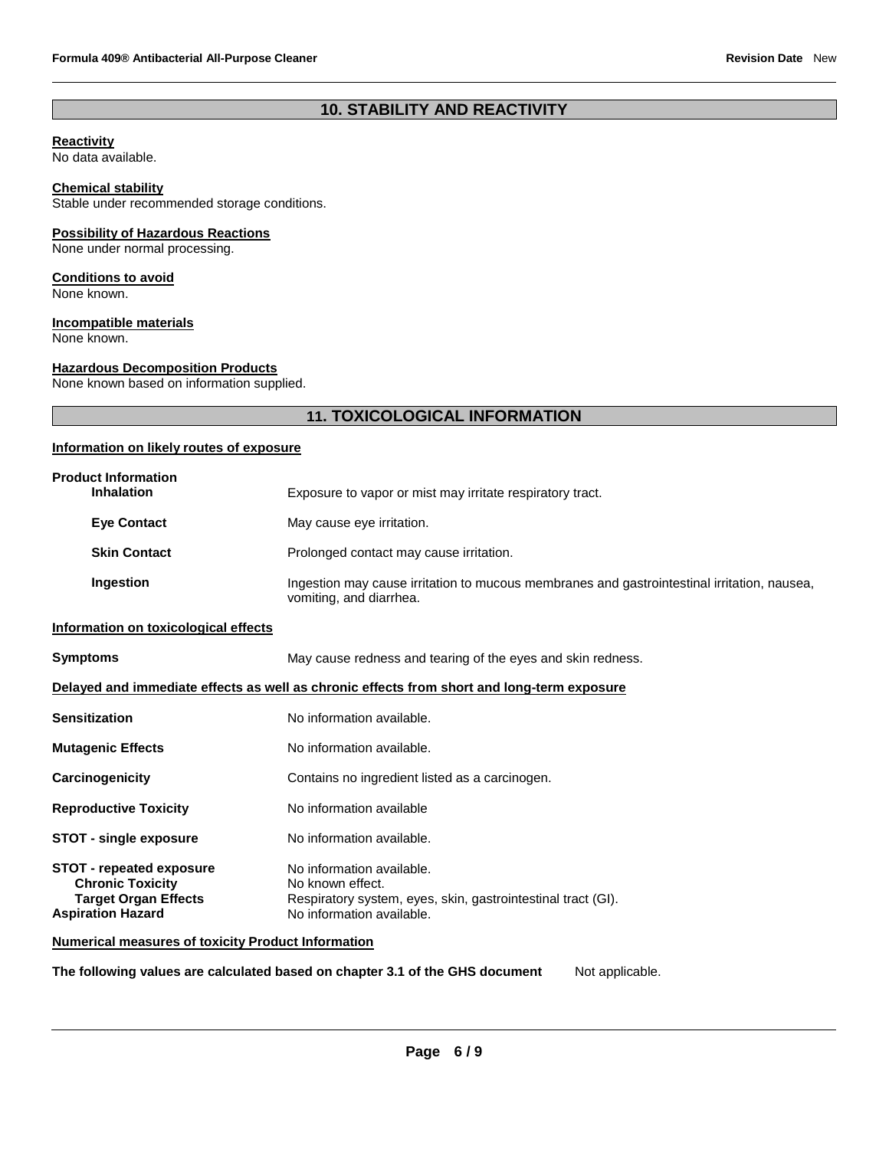# **10. STABILITY AND REACTIVITY**

#### **Reactivity**

No data available.

## **Chemical stability**

Stable under recommended storage conditions.

## **Possibility of Hazardous Reactions**

None under normal processing.

#### **Conditions to avoid**

None known.

## **Incompatible materials**

None known.

## **Hazardous Decomposition Products**

None known based on information supplied.

# **11. TOXICOLOGICAL INFORMATION**

# **Information on likely routes of exposure**

| <b>Product Information</b><br><b>Inhalation</b>                                                                       | Exposure to vapor or mist may irritate respiratory tract.                                                                                  |
|-----------------------------------------------------------------------------------------------------------------------|--------------------------------------------------------------------------------------------------------------------------------------------|
| <b>Eye Contact</b>                                                                                                    | May cause eye irritation.                                                                                                                  |
| <b>Skin Contact</b>                                                                                                   | Prolonged contact may cause irritation.                                                                                                    |
| Ingestion                                                                                                             | Ingestion may cause irritation to mucous membranes and gastrointestinal irritation, nausea,<br>vomiting, and diarrhea.                     |
| Information on toxicological effects                                                                                  |                                                                                                                                            |
| <b>Symptoms</b>                                                                                                       | May cause redness and tearing of the eyes and skin redness.                                                                                |
|                                                                                                                       | Delayed and immediate effects as well as chronic effects from short and long-term exposure                                                 |
| <b>Sensitization</b>                                                                                                  | No information available.                                                                                                                  |
| <b>Mutagenic Effects</b>                                                                                              | No information available.                                                                                                                  |
| Carcinogenicity                                                                                                       | Contains no ingredient listed as a carcinogen.                                                                                             |
| <b>Reproductive Toxicity</b>                                                                                          | No information available                                                                                                                   |
| <b>STOT - single exposure</b>                                                                                         | No information available.                                                                                                                  |
| <b>STOT - repeated exposure</b><br><b>Chronic Toxicity</b><br><b>Target Organ Effects</b><br><b>Aspiration Hazard</b> | No information available.<br>No known effect.<br>Respiratory system, eyes, skin, gastrointestinal tract (GI).<br>No information available. |
| <b>Numerical measures of toxicity Product Information</b>                                                             |                                                                                                                                            |

**The following values are calculated based on chapter 3.1 of the GHS document** Not applicable.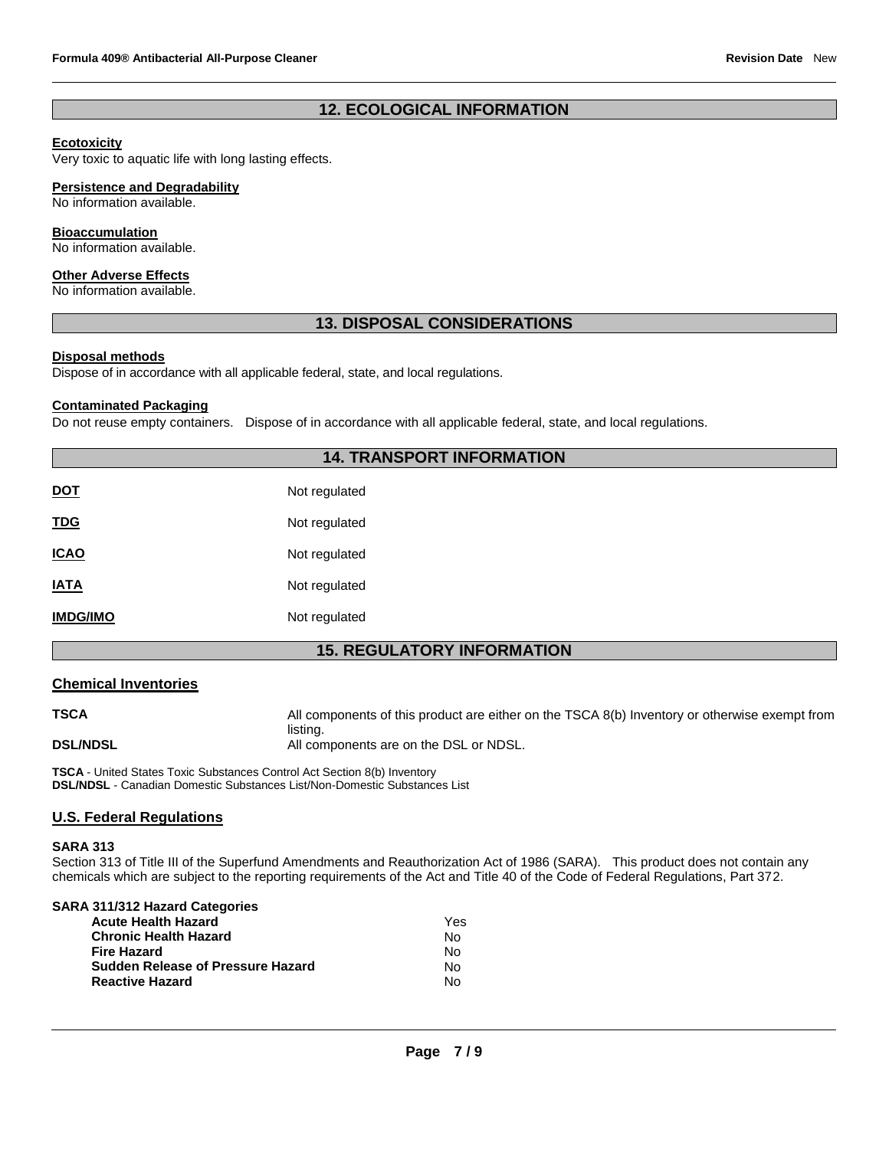# **12. ECOLOGICAL INFORMATION**

## **Ecotoxicity**

Very toxic to aquatic life with long lasting effects.

# **Persistence and Degradability**

No information available.

#### **Bioaccumulation**

No information available.

#### **Other Adverse Effects**

No information available.

## **13. DISPOSAL CONSIDERATIONS**

## **Disposal methods**

Dispose of in accordance with all applicable federal, state, and local regulations.

#### **Contaminated Packaging**

Do not reuse empty containers. Dispose of in accordance with all applicable federal, state, and local regulations.

# **14. TRANSPORT INFORMATION**

| <b>DOT</b>      | Not regulated |
|-----------------|---------------|
| <b>TDG</b>      | Not regulated |
| <b>ICAO</b>     | Not regulated |
| <b>IATA</b>     | Not regulated |
| <b>IMDG/IMO</b> | Not regulated |

# **15. REGULATORY INFORMATION**

#### **Chemical Inventories**

**TSCA** All components of this product are either on the TSCA 8(b) Inventory or otherwise exempt from listing. **DSL/NDSL All components are on the DSL or NDSL.** 

**TSCA** - United States Toxic Substances Control Act Section 8(b) Inventory **DSL/NDSL** - Canadian Domestic Substances List/Non-Domestic Substances List

# **U.S. Federal Regulations**

#### **SARA 313**

Section 313 of Title III of the Superfund Amendments and Reauthorization Act of 1986 (SARA). This product does not contain any chemicals which are subject to the reporting requirements of the Act and Title 40 of the Code of Federal Regulations, Part 372.

| SARA 311/312 Hazard Categories           |     |
|------------------------------------------|-----|
| <b>Acute Health Hazard</b>               | Yes |
| <b>Chronic Health Hazard</b>             | N٥  |
| <b>Fire Hazard</b>                       | Nο  |
| <b>Sudden Release of Pressure Hazard</b> | N٥  |
| <b>Reactive Hazard</b>                   | N٥  |
|                                          |     |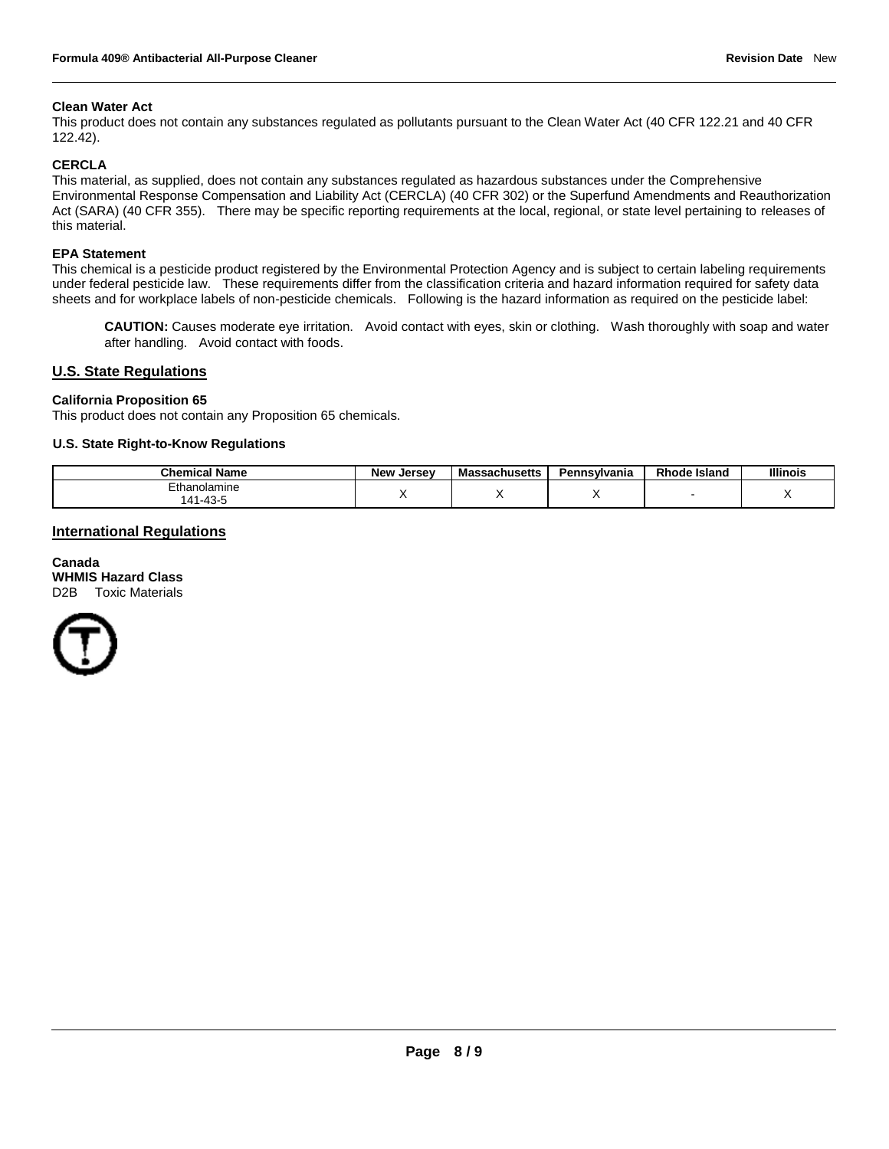#### **Clean Water Act**

This product does not contain any substances regulated as pollutants pursuant to the Clean Water Act (40 CFR 122.21 and 40 CFR 122.42).

#### **CERCLA**

This material, as supplied, does not contain any substances regulated as hazardous substances under the Comprehensive Environmental Response Compensation and Liability Act (CERCLA) (40 CFR 302) or the Superfund Amendments and Reauthorization Act (SARA) (40 CFR 355). There may be specific reporting requirements at the local, regional, or state level pertaining to releases of this material.

#### **EPA Statement**

This chemical is a pesticide product registered by the Environmental Protection Agency and is subject to certain labeling requirements under federal pesticide law. These requirements differ from the classification criteria and hazard information required for safety data sheets and for workplace labels of non-pesticide chemicals. Following is the hazard information as required on the pesticide label:

**CAUTION:** Causes moderate eye irritation. Avoid contact with eyes, skin or clothing. Wash thoroughly with soap and water after handling. Avoid contact with foods.

#### **U.S. State Regulations**

#### **California Proposition 65**

This product does not contain any Proposition 65 chemicals.

#### **U.S. State Right-to-Know Regulations**

| Chemical<br>' Name                   | <b>New</b><br>. Jersev | <b>Massachusetts</b> | Pennsvlvania | Rhode Islano | <b>Illinois</b> |
|--------------------------------------|------------------------|----------------------|--------------|--------------|-----------------|
| Ethanolamine<br>1.43.<br>$\Lambda$ 1 |                        |                      |              |              | . .             |

## **International Regulations**

**Canada WHMIS Hazard Class** D2B Toxic Materials